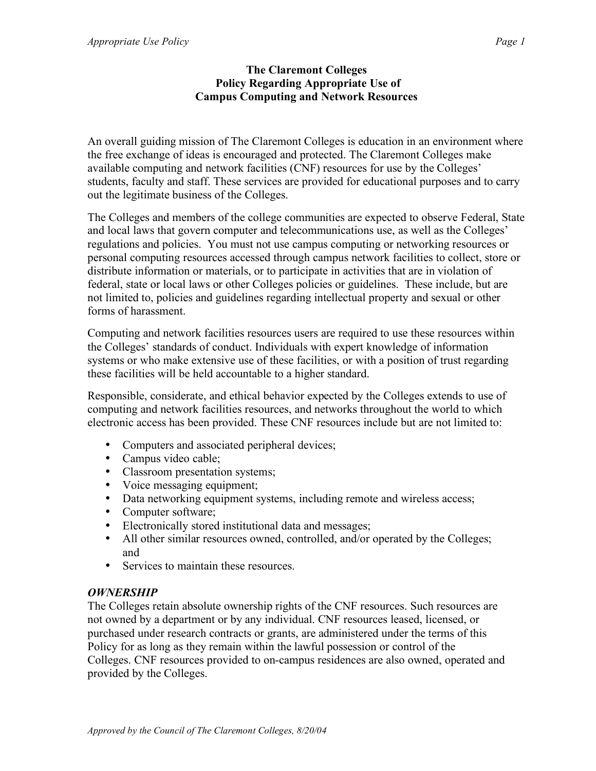### **The Claremont Colleges Policy Regarding Appropriate Use of Campus Computing and Network Resources**

An overall guiding mission of The Claremont Colleges is education in an environment where the free exchange of ideas is encouraged and protected. The Claremont Colleges make available computing and network facilities (CNF) resources for use by the Colleges' students, faculty and staff. These services are provided for educational purposes and to carry out the legitimate business of the Colleges.

The Colleges and members of the college communities are expected to observe Federal, State and local laws that govern computer and telecommunications use, as well as the Colleges' regulations and policies. You must not use campus computing or networking resources or personal computing resources accessed through campus network facilities to collect, store or distribute information or materials, or to participate in activities that are in violation of federal, state or local laws or other Colleges policies or guidelines. These include, but are not limited to, policies and guidelines regarding intellectual property and sexual or other forms of harassment.

Computing and network facilities resources users are required to use these resources within the Colleges' standards of conduct. Individuals with expert knowledge of information systems or who make extensive use of these facilities, or with a position of trust regarding these facilities will be held accountable to a higher standard.

Responsible, considerate, and ethical behavior expected by the Colleges extends to use of computing and network facilities resources, and networks throughout the world to which electronic access has been provided. These CNF resources include but are not limited to:

- Computers and associated peripheral devices;
- Campus video cable;
- Classroom presentation systems;
- Voice messaging equipment;
- Data networking equipment systems, including remote and wireless access;
- Computer software;
- Electronically stored institutional data and messages;
- All other similar resources owned, controlled, and/or operated by the Colleges; and
- Services to maintain these resources

## *OWNERSHIP*

The Colleges retain absolute ownership rights of the CNF resources. Such resources are not owned by a department or by any individual. CNF resources leased, licensed, or purchased under research contracts or grants, are administered under the terms of this Policy for as long as they remain within the lawful possession or control of the Colleges. CNF resources provided to on-campus residences are also owned, operated and provided by the Colleges.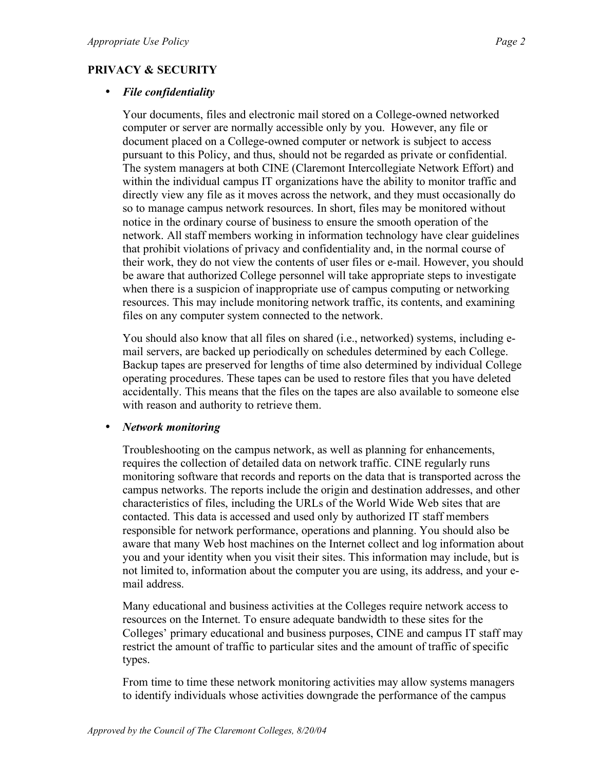### **PRIVACY & SECURITY**

#### • *File confidentiality*

Your documents, files and electronic mail stored on a College-owned networked computer or server are normally accessible only by you. However, any file or document placed on a College-owned computer or network is subject to access pursuant to this Policy, and thus, should not be regarded as private or confidential. The system managers at both CINE (Claremont Intercollegiate Network Effort) and within the individual campus IT organizations have the ability to monitor traffic and directly view any file as it moves across the network, and they must occasionally do so to manage campus network resources. In short, files may be monitored without notice in the ordinary course of business to ensure the smooth operation of the network. All staff members working in information technology have clear guidelines that prohibit violations of privacy and confidentiality and, in the normal course of their work, they do not view the contents of user files or e-mail. However, you should be aware that authorized College personnel will take appropriate steps to investigate when there is a suspicion of inappropriate use of campus computing or networking resources. This may include monitoring network traffic, its contents, and examining files on any computer system connected to the network.

You should also know that all files on shared (i.e., networked) systems, including email servers, are backed up periodically on schedules determined by each College. Backup tapes are preserved for lengths of time also determined by individual College operating procedures. These tapes can be used to restore files that you have deleted accidentally. This means that the files on the tapes are also available to someone else with reason and authority to retrieve them.

#### • *Network monitoring*

Troubleshooting on the campus network, as well as planning for enhancements, requires the collection of detailed data on network traffic. CINE regularly runs monitoring software that records and reports on the data that is transported across the campus networks. The reports include the origin and destination addresses, and other characteristics of files, including the URLs of the World Wide Web sites that are contacted. This data is accessed and used only by authorized IT staff members responsible for network performance, operations and planning. You should also be aware that many Web host machines on the Internet collect and log information about you and your identity when you visit their sites. This information may include, but is not limited to, information about the computer you are using, its address, and your email address.

Many educational and business activities at the Colleges require network access to resources on the Internet. To ensure adequate bandwidth to these sites for the Colleges' primary educational and business purposes, CINE and campus IT staff may restrict the amount of traffic to particular sites and the amount of traffic of specific types.

From time to time these network monitoring activities may allow systems managers to identify individuals whose activities downgrade the performance of the campus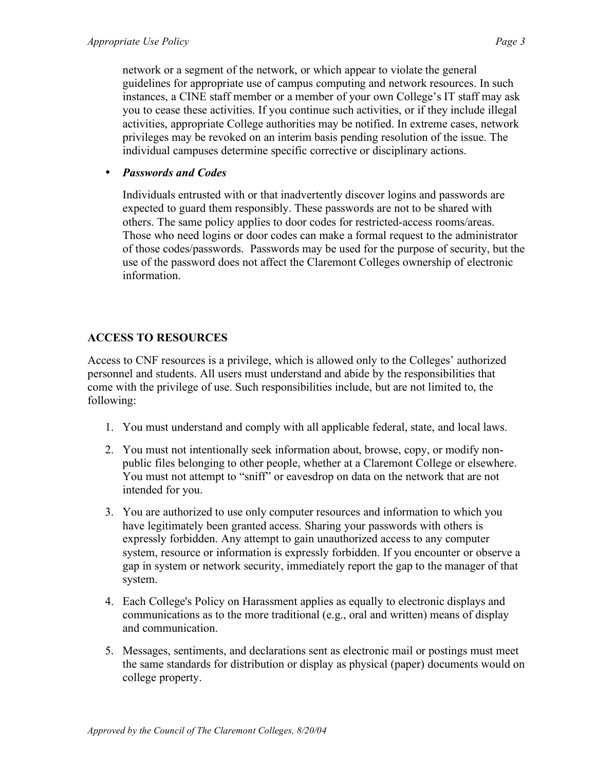network or a segment of the network, or which appear to violate the general guidelines for appropriate use of campus computing and network resources. In such instances, a CINE staff member or a member of your own College's IT staff may ask you to cease these activities. If you continue such activities, or if they include illegal activities, appropriate College authorities may be notified. In extreme cases, network privileges may be revoked on an interim basis pending resolution of the issue. The individual campuses determine specific corrective or disciplinary actions.

## • *Passwords and Codes*

Individuals entrusted with or that inadvertently discover logins and passwords are expected to guard them responsibly. These passwords are not to be shared with others. The same policy applies to door codes for restricted-access rooms/areas. Those who need logins or door codes can make a formal request to the administrator of those codes/passwords. Passwords may be used for the purpose of security, but the use of the password does not affect the Claremont Colleges ownership of electronic information.

# **ACCESS TO RESOURCES**

Access to CNF resources is a privilege, which is allowed only to the Colleges' authorized personnel and students. All users must understand and abide by the responsibilities that come with the privilege of use. Such responsibilities include, but are not limited to, the following:

- 1. You must understand and comply with all applicable federal, state, and local laws.
- 2. You must not intentionally seek information about, browse, copy, or modify nonpublic files belonging to other people, whether at a Claremont College or elsewhere. You must not attempt to "sniff" or eavesdrop on data on the network that are not intended for you.
- 3. You are authorized to use only computer resources and information to which you have legitimately been granted access. Sharing your passwords with others is expressly forbidden. Any attempt to gain unauthorized access to any computer system, resource or information is expressly forbidden. If you encounter or observe a gap in system or network security, immediately report the gap to the manager of that system.
- 4. Each College's Policy on Harassment applies as equally to electronic displays and communications as to the more traditional (e.g., oral and written) means of display and communication.
- 5. Messages, sentiments, and declarations sent as electronic mail or postings must meet the same standards for distribution or display as physical (paper) documents would on college property.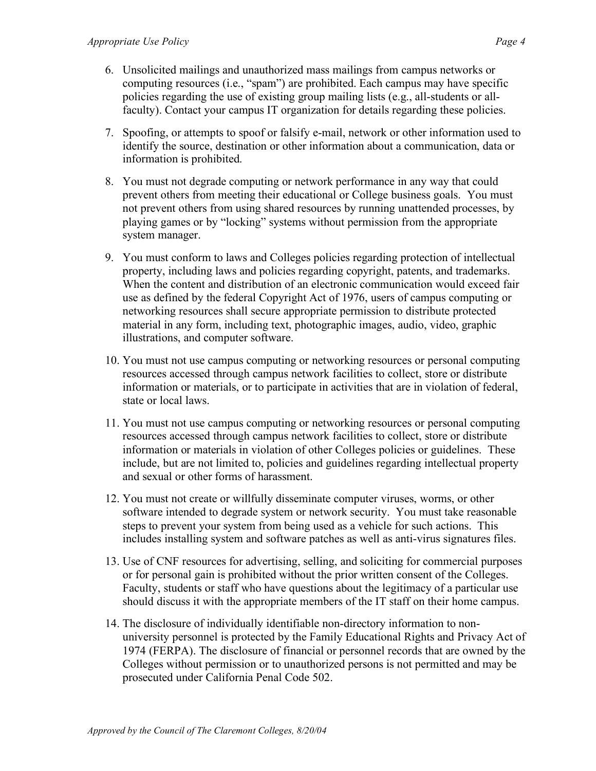- 6. Unsolicited mailings and unauthorized mass mailings from campus networks or computing resources (i.e., "spam") are prohibited. Each campus may have specific policies regarding the use of existing group mailing lists (e.g., all-students or allfaculty). Contact your campus IT organization for details regarding these policies.
- 7. Spoofing, or attempts to spoof or falsify e-mail, network or other information used to identify the source, destination or other information about a communication, data or information is prohibited.
- 8. You must not degrade computing or network performance in any way that could prevent others from meeting their educational or College business goals. You must not prevent others from using shared resources by running unattended processes, by playing games or by "locking" systems without permission from the appropriate system manager.
- 9. You must conform to laws and Colleges policies regarding protection of intellectual property, including laws and policies regarding copyright, patents, and trademarks. When the content and distribution of an electronic communication would exceed fair use as defined by the federal Copyright Act of 1976, users of campus computing or networking resources shall secure appropriate permission to distribute protected material in any form, including text, photographic images, audio, video, graphic illustrations, and computer software.
- 10. You must not use campus computing or networking resources or personal computing resources accessed through campus network facilities to collect, store or distribute information or materials, or to participate in activities that are in violation of federal, state or local laws.
- 11. You must not use campus computing or networking resources or personal computing resources accessed through campus network facilities to collect, store or distribute information or materials in violation of other Colleges policies or guidelines. These include, but are not limited to, policies and guidelines regarding intellectual property and sexual or other forms of harassment.
- 12. You must not create or willfully disseminate computer viruses, worms, or other software intended to degrade system or network security. You must take reasonable steps to prevent your system from being used as a vehicle for such actions. This includes installing system and software patches as well as anti-virus signatures files.
- 13. Use of CNF resources for advertising, selling, and soliciting for commercial purposes or for personal gain is prohibited without the prior written consent of the Colleges. Faculty, students or staff who have questions about the legitimacy of a particular use should discuss it with the appropriate members of the IT staff on their home campus.
- 14. The disclosure of individually identifiable non-directory information to nonuniversity personnel is protected by the Family Educational Rights and Privacy Act of 1974 (FERPA). The disclosure of financial or personnel records that are owned by the Colleges without permission or to unauthorized persons is not permitted and may be prosecuted under California Penal Code 502.